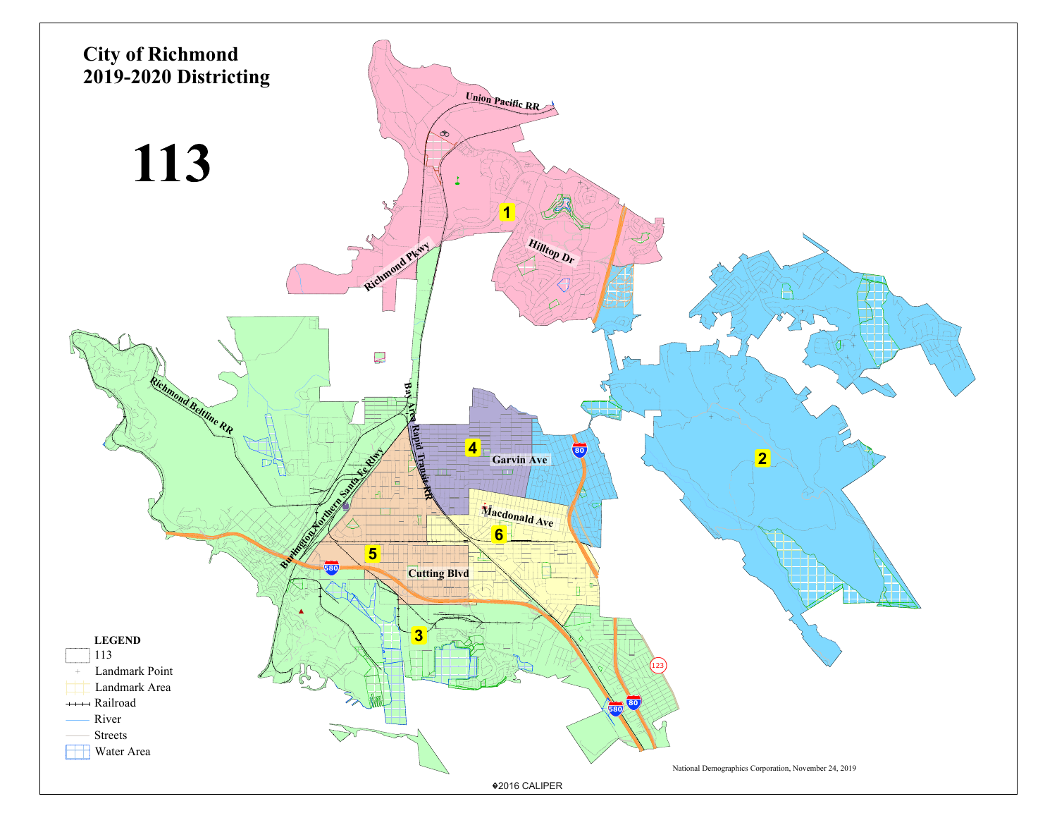